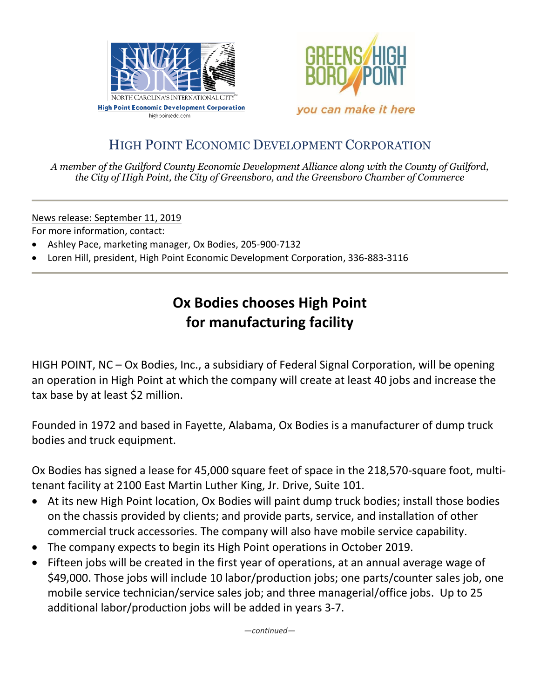



#### HIGH POINT ECONOMIC DEVELOPMENT CORPORATION

*A member of the Guilford County Economic Development Alliance along with the County of Guilford, the City of High Point, the City of Greensboro, and the Greensboro Chamber of Commerce*

News release: September 11, 2019

For more information, contact:

- Ashley Pace, marketing manager, Ox Bodies, 205-900-7132
- Loren Hill, president, High Point Economic Development Corporation, 336-883-3116

### **Ox Bodies chooses High Point for manufacturing facility**

HIGH POINT, NC – Ox Bodies, Inc., a subsidiary of Federal Signal Corporation, will be opening an operation in High Point at which the company will create at least 40 jobs and increase the tax base by at least \$2 million.

Founded in 1972 and based in Fayette, Alabama, Ox Bodies is a manufacturer of dump truck bodies and truck equipment.

Ox Bodies has signed a lease for 45,000 square feet of space in the 218,570-square foot, multitenant facility at 2100 East Martin Luther King, Jr. Drive, Suite 101.

- At its new High Point location, Ox Bodies will paint dump truck bodies; install those bodies on the chassis provided by clients; and provide parts, service, and installation of other commercial truck accessories. The company will also have mobile service capability.
- The company expects to begin its High Point operations in October 2019.
- Fifteen jobs will be created in the first year of operations, at an annual average wage of \$49,000. Those jobs will include 10 labor/production jobs; one parts/counter sales job, one mobile service technician/service sales job; and three managerial/office jobs. Up to 25 additional labor/production jobs will be added in years 3-7.

*—continued—*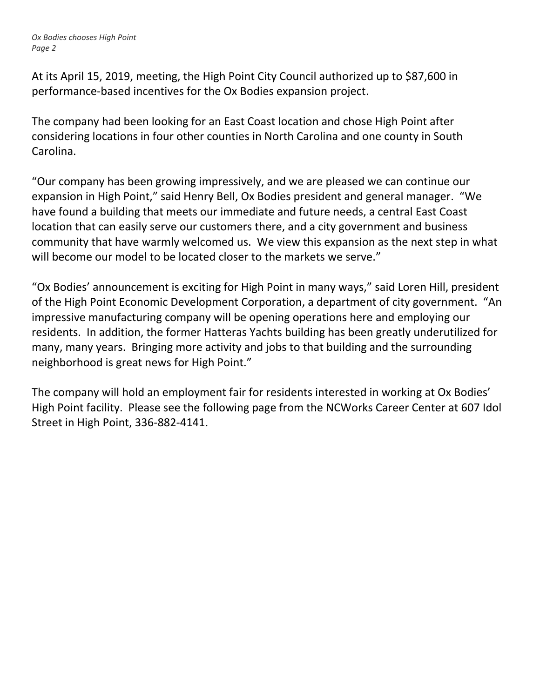*Ox Bodies chooses High Point Page 2*

At its April 15, 2019, meeting, the High Point City Council authorized up to \$87,600 in performance-based incentives for the Ox Bodies expansion project.

The company had been looking for an East Coast location and chose High Point after considering locations in four other counties in North Carolina and one county in South Carolina.

"Our company has been growing impressively, and we are pleased we can continue our expansion in High Point," said Henry Bell, Ox Bodies president and general manager. "We have found a building that meets our immediate and future needs, a central East Coast location that can easily serve our customers there, and a city government and business community that have warmly welcomed us. We view this expansion as the next step in what will become our model to be located closer to the markets we serve."

"Ox Bodies' announcement is exciting for High Point in many ways," said Loren Hill, president of the High Point Economic Development Corporation, a department of city government. "An impressive manufacturing company will be opening operations here and employing our residents. In addition, the former Hatteras Yachts building has been greatly underutilized for many, many years. Bringing more activity and jobs to that building and the surrounding neighborhood is great news for High Point."

The company will hold an employment fair for residents interested in working at Ox Bodies' High Point facility. Please see the following page from the NCWorks Career Center at 607 Idol Street in High Point, 336-882-4141.